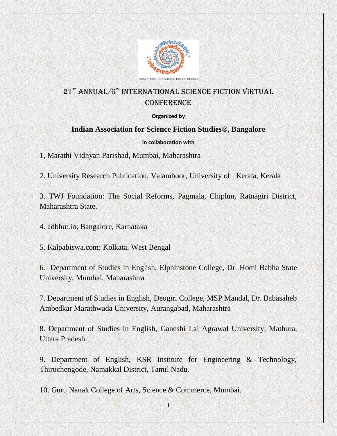

# 21<sup>st</sup> ANNUAL/6<sup>th</sup> INTERNATIONAL SCIENCE FICTION VIRTUAL **CONFERENCE**

#### **Organized by**

### **Indian Association for Science Fiction Studies®, Bangalore**

#### **in collaboration with**

1, Marathi Vidnyan Parishad, Mumbai, Maharashtra

2. University Research Publication, Valamboor, University of Kerala, Kerala

3. TWJ Foundation: The Social Reforms, Pagmala, Chiplun, Ratnagiri District, Maharashtra State.

4. adbhut.in; Bangalore, Karnataka

5. Kalpabiswa.com; Kolkata, West Bengal

6. Department of Studies in English, Elphinstone College, Dr. Homi Babha State University, Mumbai, Maharashtra

7. Department of Studies in English, Deogiri College, MSP Mandal, Dr. Babasaheb Ambedkar Marathwada University, Aurangabad, Maharashtra

8. Department of Studies in English, Ganeshi Lal Agrawal University, Mathura, Uttara Pradesh.

9. Department of English, KSR Institute for Engineering & Technology, Thiruchengode, Namakkal District, Tamil Nadu.

10. Guru Nanak College of Arts, Science & Commerce, Mumbai.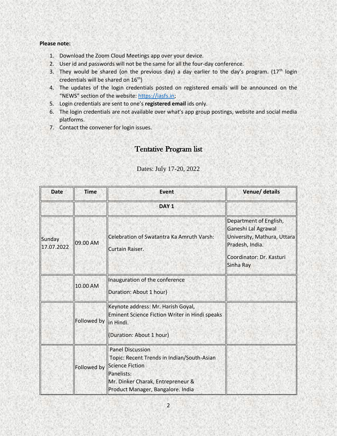#### **Please note:**

- 1. Download the Zoom Cloud Meetings app over your device.
- 2. User id and passwords will not be the same for all the four-day conference.
- 3. They would be shared (on the previous day) a day earlier to the day's program.  $(17<sup>th</sup> \text{ login})$ credentials will be shared on  $16<sup>th</sup>$ )
- 4. The updates of the login credentials posted on registered emails will be announced on the "NEWS" section of the website: [https://iasfs.in;](https://iasfs.in/)
- 5. Login credentials are sent to one's **registered email** ids only.
- 6. The login credentials are not available over what's app group postings, website and social media platforms.
- 7. Contact the convener for login issues.

## Tentative Program list

| <b>Date</b>          | <b>Time</b>           | Event                                                                                                                                                                            | Venue/ details                                                                                                                           |
|----------------------|-----------------------|----------------------------------------------------------------------------------------------------------------------------------------------------------------------------------|------------------------------------------------------------------------------------------------------------------------------------------|
|                      |                       | DAY <sub>1</sub>                                                                                                                                                                 |                                                                                                                                          |
| Sunday<br>17.07.2022 | 09.00 AM              | Celebration of Swatantra Ka Amruth Varsh:<br>Curtain Raiser.                                                                                                                     | Department of English,<br>Ganeshi Lal Agrawal<br>University, Mathura, Uttara<br>Pradesh, India.<br>Coordinator: Dr. Kasturi<br>Sinha Ray |
|                      | 10.00 AM              | Inauguration of the conference<br>Duration: About 1 hour)                                                                                                                        |                                                                                                                                          |
|                      | Followed by in Hindi. | Keynote address: Mr. Harish Goyal,<br>Eminent Science Fiction Writer in Hindi speaks<br>(Duration: About 1 hour)                                                                 |                                                                                                                                          |
|                      | Followed by           | <b>Panel Discussion</b><br>Topic: Recent Trends in Indian/South-Asian<br>Science Fiction<br>Panelists:<br>Mr. Dinker Charak, Entrepreneur &<br>Product Manager, Bangalore. India |                                                                                                                                          |

l Dates: July 17-20, 2022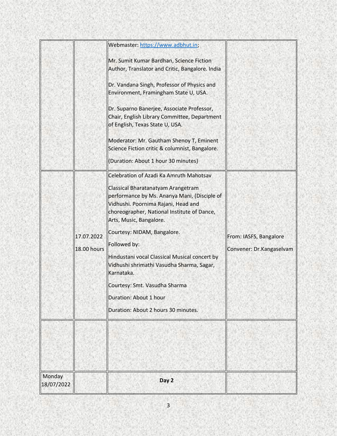| Monday<br>18/07/2022 |                                  | Day 2                                                                                                                                                                                                                                                                                                                                                                                                                                                                                                                                              |                                                    |
|----------------------|----------------------------------|----------------------------------------------------------------------------------------------------------------------------------------------------------------------------------------------------------------------------------------------------------------------------------------------------------------------------------------------------------------------------------------------------------------------------------------------------------------------------------------------------------------------------------------------------|----------------------------------------------------|
|                      |                                  |                                                                                                                                                                                                                                                                                                                                                                                                                                                                                                                                                    |                                                    |
|                      | 17.07.2022<br><b>18.00 hours</b> | (Duration: About 1 hour 30 minutes)<br>Celebration of Azadi Ka Amruth Mahotsav<br>Classical Bharatanatyam Arangetram<br>performance by Ms. Ananya Mani, (Disciple of<br>Vidhushi. Poornima Rajani, Head and<br>choreographer, National Institute of Dance,<br>Arts, Music, Bangalore.<br>Courtesy: NIDAM, Bangalore.<br>Followed by:<br>Hindustani vocal Classical Musical concert by<br>Vidhushi shrimathi Vasudha Sharma, Sagar,<br>Karnataka.<br>Courtesy: Smt. Vasudha Sharma<br>Duration: About 1 hour<br>Duration: About 2 hours 30 minutes. | From: IASFS, Bangalore<br>Convener: Dr.Kangaselvam |
|                      |                                  | Webmaster: https://www.adbhut.in;<br>Mr. Sumit Kumar Bardhan, Science Fiction<br>Author, Translator and Critic, Bangalore. India<br>Dr. Vandana Singh, Professor of Physics and<br>Environment, Framingham State U, USA.<br>Dr. Suparno Banerjee, Associate Professor,<br>Chair, English Library Committee, Department<br>of English, Texas State U, USA.<br>Moderator: Mr. Gautham Shenoy T, Eminent<br>Science Fiction critic & columnist, Bangalore.                                                                                            |                                                    |
|                      |                                  |                                                                                                                                                                                                                                                                                                                                                                                                                                                                                                                                                    |                                                    |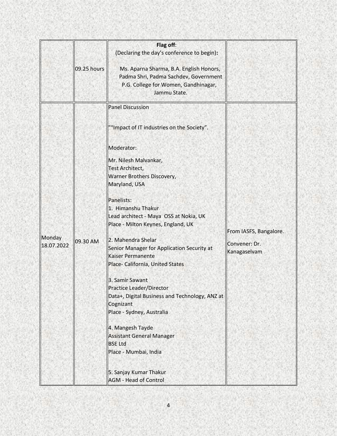|                      |             | Flag off:<br>(Declaring the day's conference to begin):                                                                                        |                                                         |
|----------------------|-------------|------------------------------------------------------------------------------------------------------------------------------------------------|---------------------------------------------------------|
|                      | 09.25 hours | Ms. Aparna Sharma, B.A. English Honors,<br>Padma Shri, Padma Sachdev, Government<br>P.G. College for Women, Gandhinagar,<br>Jammu State.       |                                                         |
|                      |             | <b>Panel Discussion</b>                                                                                                                        |                                                         |
|                      |             | ""Impact of IT industries on the Society".                                                                                                     |                                                         |
|                      |             | Moderator:                                                                                                                                     |                                                         |
| Monday<br>18.07.2022 | 09.30 AM    | Mr. Nilesh Malvankar,<br><b>Test Architect,</b><br>Warner Brothers Discovery,                                                                  | From IASFS, Bangalore.<br>Convener: Dr.<br>Kanagaselvam |
|                      |             | Maryland, USA                                                                                                                                  |                                                         |
|                      |             | Panelists:<br>1. Himanshu Thakur<br>Lead architect - Maya OSS at Nokia, UK<br>Place - Milton Keynes, England, UK                               |                                                         |
|                      |             | 2. Mahendra Shelar<br>Senior Manager for Application Security at<br><b>Kaiser Permanente</b><br>Place- California, United States               |                                                         |
|                      |             | 3. Samir Sawant<br><b>Practice Leader/Director</b><br>Data+, Digital Business and Technology, ANZ at<br>Cognizant<br>Place - Sydney, Australia |                                                         |
|                      |             | 4. Mangesh Tayde<br><b>Assistant General Manager</b><br><b>BSE Ltd</b><br>Place - Mumbai, India                                                |                                                         |
|                      |             | 5. Sanjay Kumar Thakur<br><b>AGM - Head of Control</b>                                                                                         |                                                         |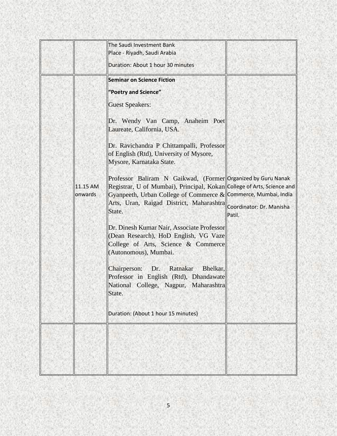|                     | The Saudi Investment Bank<br>Place - Riyadh, Saudi Arabia                                                                                                                                                                                                                               |        |
|---------------------|-----------------------------------------------------------------------------------------------------------------------------------------------------------------------------------------------------------------------------------------------------------------------------------------|--------|
|                     | Duration: About 1 hour 30 minutes                                                                                                                                                                                                                                                       |        |
|                     | <b>Seminar on Science Fiction</b>                                                                                                                                                                                                                                                       |        |
|                     | "Poetry and Science"                                                                                                                                                                                                                                                                    |        |
|                     | <b>Guest Speakers:</b>                                                                                                                                                                                                                                                                  |        |
|                     | Dr. Wendy Van Camp, Anaheim Poet<br>Laureate, California, USA.                                                                                                                                                                                                                          |        |
|                     | Dr. Ravichandra P Chittampalli, Professor<br>of English (Rtd), University of Mysore,<br>Mysore, Karnataka State.                                                                                                                                                                        |        |
| 11.15 AM<br>onwards | Professor Baliram N Gaikwad, (Former Organized by Guru Nanak<br>Registrar, U of Mumbai), Principal, Kokan College of Arts, Science and<br>Gyanpeeth, Urban College of Commerce & Commerce, Mumbai, India<br>Arts, Uran, Raigad District, Maharashtra Coordinator: Dr. Manisha<br>State. | Patil. |
|                     | Dr. Dinesh Kumar Nair, Associate Professor<br>Collector Research), HoD English, VG Vaze<br>College of Arts, Science & Commerce<br>(Autonomous), Mumbai.                                                                                                                                 |        |
|                     | Chairperson: Dr. Ratnakar<br>Bhelkar,<br>Professor in English (Rtd), Dhandawate<br>National College, Nagpur, Maharashtra<br>State.                                                                                                                                                      |        |
|                     | Duration: (About 1 hour 15 minutes)                                                                                                                                                                                                                                                     |        |
|                     |                                                                                                                                                                                                                                                                                         |        |
|                     |                                                                                                                                                                                                                                                                                         |        |
|                     |                                                                                                                                                                                                                                                                                         |        |
|                     |                                                                                                                                                                                                                                                                                         |        |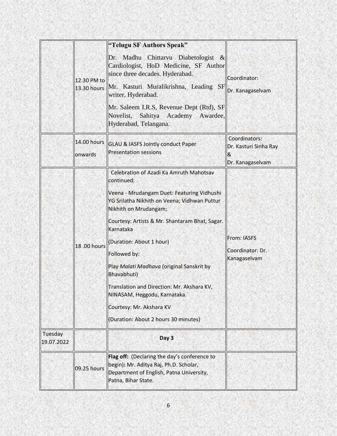|                       | 12.30 PM to<br>13.30 hours | "Telugu SF Authors Speak"<br>Dr. Madhu Chittarvu Diabetologist &<br>Cardiologist, HoD Medicine, SF Author<br>since three decades. Hyderabad.<br>Mr. Kasturi Muralikrishna, Leading SF<br>writer, Hyderabad.<br>Mr. Saleem I.R.S, Revenue Dept (Rtd), SF<br>Novelist, Sahitya Academy Awardee,<br>Hyderabad, Telangana.                                                                                                                                                                                | Coordinator:<br>Dr. Kanagaselvam                                |
|-----------------------|----------------------------|-------------------------------------------------------------------------------------------------------------------------------------------------------------------------------------------------------------------------------------------------------------------------------------------------------------------------------------------------------------------------------------------------------------------------------------------------------------------------------------------------------|-----------------------------------------------------------------|
|                       | 14.00 hours<br>onwards     | <b>GLAU &amp; IASFS Jointly conduct Paper</b><br><b>Presentation sessions</b>                                                                                                                                                                                                                                                                                                                                                                                                                         | Coordinators:<br>Dr. Kasturi Sinha Ray<br>&<br>Dr. Kanagaselvam |
|                       | 18.00 hours                | Celebration of Azadi Ka Amruth Mahotsav<br>continued:<br>Veena - Mrudangam Duet: Featuring Vidhushi<br>YG Srilatha Nikhith on Veena; Vidhwan Puttur<br>Nikhith on Mrudangam;<br>Courtesy: Artists & Mr. Shantaram Bhat, Sagar.<br>Karnataka<br>(Duration: About 1 hour)<br>Followed by:<br>Play Malati Madhava (original Sanskrit by<br>Bhavabhuti)<br>Translation and Direction: Mr. Akshara KV,<br>NINASAM, Heggodu, Karnataka.<br>Courtesy: Mr. Akshara KV<br>(Duration: About 2 hours 30 minutes) | From: IASFS<br>Coordinator: Dr.<br>Kanagaselvam                 |
| Tuesday<br>19.07.2022 |                            | Day 3                                                                                                                                                                                                                                                                                                                                                                                                                                                                                                 |                                                                 |
|                       | 09.25 hours                | Flag off: (Declaring the day's conference to<br>begin): Mr. Aditya Raj, Ph.D. Scholar,<br>Department of English, Patna University,<br>Patna, Bihar State.                                                                                                                                                                                                                                                                                                                                             |                                                                 |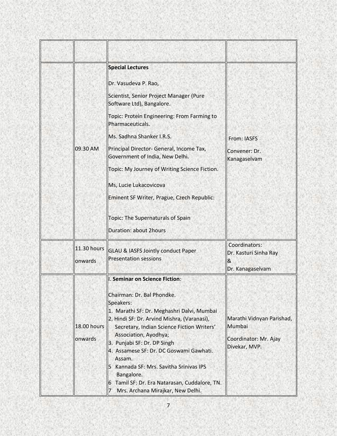|         |                               | <b>Special Lectures</b>                                                                                                                                                                                                                                                                                                                                                                                                                              |                                                                               |
|---------|-------------------------------|------------------------------------------------------------------------------------------------------------------------------------------------------------------------------------------------------------------------------------------------------------------------------------------------------------------------------------------------------------------------------------------------------------------------------------------------------|-------------------------------------------------------------------------------|
|         |                               | Dr. Vasudeva P. Rao,                                                                                                                                                                                                                                                                                                                                                                                                                                 |                                                                               |
|         |                               | Scientist, Senior Project Manager (Pure<br>Software Ltd), Bangalore.                                                                                                                                                                                                                                                                                                                                                                                 |                                                                               |
|         |                               | Topic: Protein Engineering: From Farming to<br>Pharmaceuticals.                                                                                                                                                                                                                                                                                                                                                                                      |                                                                               |
|         |                               | Ms. Sadhna Shanker I.R.S.                                                                                                                                                                                                                                                                                                                                                                                                                            | From: IASFS                                                                   |
|         | 09.30 AM                      | Principal Director- General, Income Tax,<br>Government of India, New Delhi.                                                                                                                                                                                                                                                                                                                                                                          | Convener: Dr.<br>Kanagaselvam                                                 |
|         |                               | Topic: My Journey of Writing Science Fiction.                                                                                                                                                                                                                                                                                                                                                                                                        |                                                                               |
|         |                               | Ms, Lucie Lukacovicova                                                                                                                                                                                                                                                                                                                                                                                                                               |                                                                               |
|         |                               | Eminent SF Writer, Prague, Czech Republic:                                                                                                                                                                                                                                                                                                                                                                                                           |                                                                               |
|         |                               | Topic: The Supernaturals of Spain                                                                                                                                                                                                                                                                                                                                                                                                                    |                                                                               |
|         |                               | <b>Duration: about 2hours</b>                                                                                                                                                                                                                                                                                                                                                                                                                        |                                                                               |
|         |                               |                                                                                                                                                                                                                                                                                                                                                                                                                                                      | Coordinators:                                                                 |
|         | 11.30 hours                   | <b>GLAU &amp; IASFS Jointly conduct Paper</b>                                                                                                                                                                                                                                                                                                                                                                                                        | Dr. Kasturi Sinha Ray                                                         |
| onwards |                               | <b>Presentation sessions</b>                                                                                                                                                                                                                                                                                                                                                                                                                         | Dr. Kanagaselvam                                                              |
|         |                               | I. Seminar on Science Fiction:                                                                                                                                                                                                                                                                                                                                                                                                                       |                                                                               |
|         | <b>18.00 hours</b><br>onwards | Chairman: Dr. Bal Phondke.<br>Speakers:<br>1. Marathi SF: Dr. Meghashri Dalvi, Mumbai<br>2. Hindi SF: Dr. Arvind Mishra, (Varanasi),<br>Secretary, Indian Science Fiction Writers'<br>Association, Ayodhya;<br>3. Punjabi SF: Dr. DP Singh<br>4. Assamese SF: Dr. DC Goswami Gawhati.<br>Assam.<br>5 Kannada SF: Mrs. Savitha Srinivas IPS<br>Bangalore.<br>6 Tamil SF: Dr. Era Natarasan, Cuddalore, TN.<br>17<br>Mrs. Archana Mirajkar, New Delhi. | Marathi Vidnyan Parishad,<br>Mumbai<br>Coordinator: Mr. Ajay<br>Divekar, MVP. |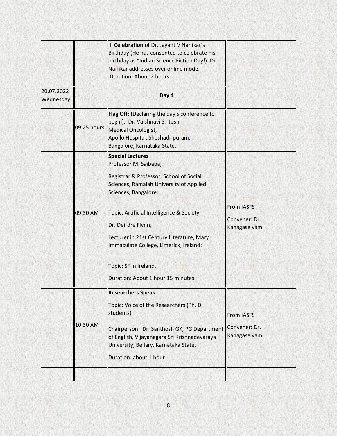|                         |             | Il Celebration of Dr. Jayant V Narlikar's<br>Birthday (He has consented to celebrate his<br>birthday as "Indian Science Fiction Day!). Dr.<br>Narlikar addresses over online mode.<br><b>Duration: About 2 hours</b>                                                                                                                                                                   |                                                    |
|-------------------------|-------------|----------------------------------------------------------------------------------------------------------------------------------------------------------------------------------------------------------------------------------------------------------------------------------------------------------------------------------------------------------------------------------------|----------------------------------------------------|
| 20.07.2022<br>Wednesday |             | Day 4                                                                                                                                                                                                                                                                                                                                                                                  |                                                    |
|                         | 09.25 hours | Flag Off: (Declaring the day's conference to<br>begin): Dr. Vaishnavi S. Joshi<br>Medical Oncologist,<br>Apollo Hospital, Sheshadripuram,<br>Bangalore, Karnataka State.                                                                                                                                                                                                               |                                                    |
|                         | 09.30 AM    | <b>Special Lectures</b><br>Professor M. Saibaba,<br>Registrar & Professor, School of Social<br>Sciences, Ramaiah University of Applied<br>Sciences, Bangalore:<br>Topic: Artificial Intelligence & Society.<br>Dr. Deirdre Flynn,<br>Lecturer in 21st Century Literature, Mary<br>Immaculate College, Limerick, Ireland:<br>Topic: SF in Ireland.<br>Duration: About 1 hour 15 minutes | <b>From IASFS</b><br>Convener: Dr.<br>Kanagaselvam |
|                         | 10.30 AM    | <b>Researchers Speak:</b><br>Topic: Voice of the Researchers (Ph. D<br>students)<br>Chairperson: Dr. Santhosh GK, PG Department<br>of English, Vijayanagara Sri Krishnadevaraya<br>University, Bellary, Karnataka State.<br>Duration: about 1 hour                                                                                                                                     | <b>From IASFS</b><br>Convener: Dr.<br>Kanagaselvam |
|                         |             |                                                                                                                                                                                                                                                                                                                                                                                        |                                                    |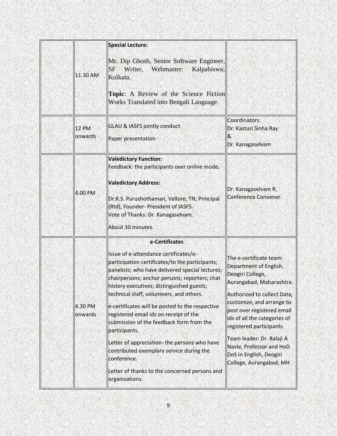| 11.30 AM                | <b>Special Lecture:</b><br>Mr. Dip Ghosh, Senior Software Engineer,<br>Writer,<br>Webmaster:<br>Kalpabiswa;<br><b>SF</b><br>Kolkata.<br><b>Topic:</b> A Review of the Science Fiction<br>Works Translated into Bengali Language.                                                                                                                                                                                                                                                                                                                                                                                                                |                                                                                                                                                                                                                                                                                                                                                                        |
|-------------------------|-------------------------------------------------------------------------------------------------------------------------------------------------------------------------------------------------------------------------------------------------------------------------------------------------------------------------------------------------------------------------------------------------------------------------------------------------------------------------------------------------------------------------------------------------------------------------------------------------------------------------------------------------|------------------------------------------------------------------------------------------------------------------------------------------------------------------------------------------------------------------------------------------------------------------------------------------------------------------------------------------------------------------------|
| <b>12 PM</b><br>onwards | <b>GLAU &amp; IASFS jointly conduct</b><br>Paper presentation                                                                                                                                                                                                                                                                                                                                                                                                                                                                                                                                                                                   | Coordinators:<br>Dr. Kasturi Sinha Ray<br>&<br>Dr. Kanagaselvam                                                                                                                                                                                                                                                                                                        |
| 4.00 PM                 | <b>Valedictory Function:</b><br>Feedback: the participants over online mode.<br><b>Valedictory Address:</b><br>Dr.K.S. Purushothaman, Vellore, TN; Principal<br>(Rtd), Founder- President of IASFS.<br>Vote of Thanks: Dr. Kanagaselvam.<br>About 30 minutes.                                                                                                                                                                                                                                                                                                                                                                                   | Dr. Kanagaselvam R,<br>Conference Convener.                                                                                                                                                                                                                                                                                                                            |
| 4.30 PM<br>onwards      | e-Certificates<br>Issue of e-attendance certificates/e-<br>participation certificates/to the participants;<br>panelists; who have delivered special lectures;<br>chairpersons; anchor persons; reporters; chat<br>history executives; distinguished guests;<br>technical staff, volunteers, and others.<br>e-certificates will be posted to the respective<br>registered email ids on receipt of the<br>submission of the feedback form from the<br>participants.<br>Letter of appreciation- the persons who have<br>contributed exemplary service during the<br>conference.<br>Letter of thanks to the concerned persons and<br>organizations. | The e-certificate team:<br>Department of English,<br>Deogiri College,<br>Aurangabad, Maharashtra.<br>Authorized to collect Data,<br>customize, and arrange to<br>post over registered email<br>ids of all the categories of<br>registered participants.<br>Team leader: Dr. Balaji A<br>Navle, Professor and HoD<br>DoS in English, Deogiri<br>College, Aurangabad, MH |